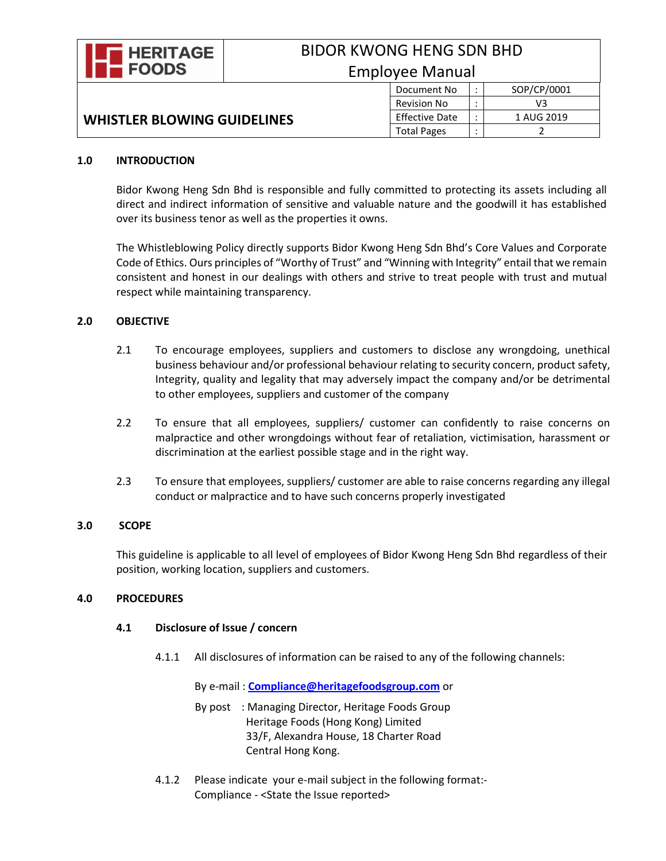

# BIDOR KWONG HENG SDN BHD Employee Manual

# **WHISTLER BLOWING GUIDELINES**

| Jycc Ivialiual |                       |   |             |
|----------------|-----------------------|---|-------------|
|                | Document No           | ٠ | SOP/CP/0001 |
|                | <b>Revision No</b>    |   | VЗ          |
|                | <b>Effective Date</b> | ٠ | 1 AUG 2019  |
|                | <b>Total Pages</b>    | ٠ |             |

#### **1.0 INTRODUCTION**

Bidor Kwong Heng Sdn Bhd is responsible and fully committed to protecting its assets including all direct and indirect information of sensitive and valuable nature and the goodwill it has established over its business tenor as well as the properties it owns.

The Whistleblowing Policy directly supports Bidor Kwong Heng Sdn Bhd's Core Values and Corporate Code of Ethics. Ours principles of "Worthy of Trust" and "Winning with Integrity" entail that we remain consistent and honest in our dealings with others and strive to treat people with trust and mutual respect while maintaining transparency.

# **2.0 OBJECTIVE**

- 2.1 To encourage employees, suppliers and customers to disclose any wrongdoing, unethical business behaviour and/or professional behaviour relating to security concern, product safety, Integrity, quality and legality that may adversely impact the company and/or be detrimental to other employees, suppliers and customer of the company
- 2.2 To ensure that all employees, suppliers/ customer can confidently to raise concerns on malpractice and other wrongdoings without fear of retaliation, victimisation, harassment or discrimination at the earliest possible stage and in the right way.
- 2.3 To ensure that employees, suppliers/ customer are able to raise concerns regarding any illegal conduct or malpractice and to have such concerns properly investigated

# **3.0 SCOPE**

This guideline is applicable to all level of employees of Bidor Kwong Heng Sdn Bhd regardless of their position, working location, suppliers and customers.

# **4.0 PROCEDURES**

# **4.1 Disclosure of Issue / concern**

4.1.1 All disclosures of information can be raised to any of the following channels:

By e-mail : **[Compliance@heritagefoodsgroup.com](mailto:Compliance@heritagefoodsgroup.com)** or

- By post : Managing Director, Heritage Foods Group Heritage Foods (Hong Kong) Limited 33/F, Alexandra House, 18 Charter Road Central Hong Kong.
- 4.1.2 Please indicate your e-mail subject in the following format:- Compliance - <State the Issue reported>